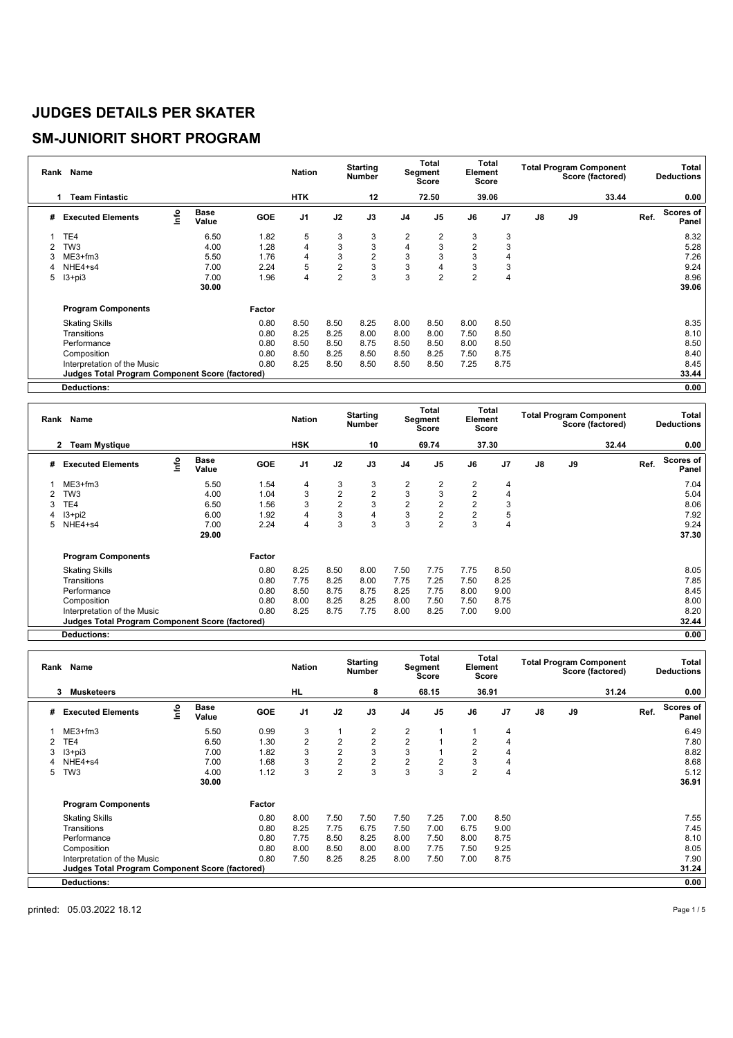### **SM-JUNIORIT SHORT PROGRAM**

| Rank | Name                                                   |      |                      |            | <b>Nation</b>  |                | <b>Starting</b><br><b>Number</b> |                | Total<br>Segment<br>Score | Element        | Total<br><b>Score</b> |    |    | <b>Total Program Component</b><br>Score (factored) |      | Total<br><b>Deductions</b> |
|------|--------------------------------------------------------|------|----------------------|------------|----------------|----------------|----------------------------------|----------------|---------------------------|----------------|-----------------------|----|----|----------------------------------------------------|------|----------------------------|
|      | Team Fintastic                                         |      |                      |            | <b>HTK</b>     |                | 12                               |                | 72.50                     |                | 39.06                 |    |    | 33.44                                              |      | 0.00                       |
| #    | <b>Executed Elements</b>                               | Info | <b>Base</b><br>Value | <b>GOE</b> | J <sub>1</sub> | J2             | J3                               | J <sub>4</sub> | J <sub>5</sub>            | J6             | J <sub>7</sub>        | J8 | J9 |                                                    | Ref. | Scores of<br>Panel         |
|      | TE4                                                    |      | 6.50                 | 1.82       | 5              | 3              | 3                                | 2              | $\overline{2}$            | 3              | 3                     |    |    |                                                    |      | 8.32                       |
| 2    | TW <sub>3</sub>                                        |      | 4.00                 | 1.28       | $\overline{4}$ | 3              | 3                                | 4              | 3                         | $\overline{2}$ | 3                     |    |    |                                                    |      | 5.28                       |
| 3    | ME3+fm3                                                |      | 5.50                 | 1.76       | 4              | 3              | $\overline{2}$                   | 3              | 3                         | 3              | 4                     |    |    |                                                    |      | 7.26                       |
| 4    | NHE4+s4                                                |      | 7.00                 | 2.24       | 5              | $\overline{2}$ | 3                                | 3              | 4                         | 3              | 3                     |    |    |                                                    |      | 9.24                       |
| 5    | $13 + pi3$                                             |      | 7.00                 | 1.96       | 4              | $\overline{2}$ | 3                                | 3              | $\overline{2}$            | $\overline{2}$ | 4                     |    |    |                                                    |      | 8.96                       |
|      |                                                        |      | 30.00                |            |                |                |                                  |                |                           |                |                       |    |    |                                                    |      | 39.06                      |
|      | <b>Program Components</b>                              |      |                      | Factor     |                |                |                                  |                |                           |                |                       |    |    |                                                    |      |                            |
|      | <b>Skating Skills</b>                                  |      |                      | 0.80       | 8.50           | 8.50           | 8.25                             | 8.00           | 8.50                      | 8.00           | 8.50                  |    |    |                                                    |      | 8.35                       |
|      | Transitions                                            |      |                      | 0.80       | 8.25           | 8.25           | 8.00                             | 8.00           | 8.00                      | 7.50           | 8.50                  |    |    |                                                    |      | 8.10                       |
|      | Performance                                            |      |                      | 0.80       | 8.50           | 8.50           | 8.75                             | 8.50           | 8.50                      | 8.00           | 8.50                  |    |    |                                                    |      | 8.50                       |
|      | Composition                                            |      |                      | 0.80       | 8.50           | 8.25           | 8.50                             | 8.50           | 8.25                      | 7.50           | 8.75                  |    |    |                                                    |      | 8.40                       |
|      | Interpretation of the Music                            |      |                      | 0.80       | 8.25           | 8.50           | 8.50                             | 8.50           | 8.50                      | 7.25           | 8.75                  |    |    |                                                    |      | 8.45                       |
|      | <b>Judges Total Program Component Score (factored)</b> |      |                      |            |                |                |                                  |                |                           |                |                       |    |    |                                                    |      | 33.44                      |
|      | <b>Deductions:</b>                                     |      |                      |            |                |                |                                  |                |                           |                |                       |    |    |                                                    |      | 0.00                       |

|   | Rank Name                                              |      |                      |            | <b>Nation</b>  |                | <b>Starting</b><br><b>Number</b> |                | Total<br>Segment<br>Score | Element        | Total<br>Score |               | <b>Total Program Component</b> | Score (factored) |      | <b>Total</b><br><b>Deductions</b> |
|---|--------------------------------------------------------|------|----------------------|------------|----------------|----------------|----------------------------------|----------------|---------------------------|----------------|----------------|---------------|--------------------------------|------------------|------|-----------------------------------|
|   | <b>Team Mystique</b><br>$\mathbf{2}$                   |      |                      |            | <b>HSK</b>     |                | 10                               |                | 69.74                     |                | 37.30          |               |                                | 32.44            |      | 0.00                              |
| # | <b>Executed Elements</b>                               | Info | <b>Base</b><br>Value | <b>GOE</b> | J <sub>1</sub> | J2             | J3                               | J4             | J <sub>5</sub>            | J6             | J <sub>7</sub> | $\mathsf{J}8$ | $\mathsf{J}9$                  |                  | Ref. | Scores of<br>Panel                |
|   | $ME3+fm3$                                              |      | 5.50                 | 1.54       | 4              | 3              | 3                                | 2              | $\overline{2}$            | $\overline{2}$ | 4              |               |                                |                  |      | 7.04                              |
| 2 | TW <sub>3</sub>                                        |      | 4.00                 | 1.04       | 3              | $\overline{2}$ | $\overline{2}$                   | 3              | 3                         | $\overline{2}$ | 4              |               |                                |                  |      | 5.04                              |
| 3 | TE4                                                    |      | 6.50                 | 1.56       | 3              | $\overline{2}$ | 3                                | $\overline{c}$ | $\overline{2}$            | $\overline{2}$ | 3              |               |                                |                  |      | 8.06                              |
|   | $13 + pi2$                                             |      | 6.00                 | 1.92       | 4              | 3              | 4                                | 3              | $\overline{2}$            | $\overline{2}$ | 5              |               |                                |                  |      | 7.92                              |
|   | NHE4+s4                                                |      | 7.00                 | 2.24       | 4              | 3              | 3                                | 3              | $\overline{2}$            | 3              | 4              |               |                                |                  |      | 9.24                              |
|   |                                                        |      | 29.00                |            |                |                |                                  |                |                           |                |                |               |                                |                  |      | 37.30                             |
|   | <b>Program Components</b>                              |      |                      | Factor     |                |                |                                  |                |                           |                |                |               |                                |                  |      |                                   |
|   | <b>Skating Skills</b>                                  |      |                      | 0.80       | 8.25           | 8.50           | 8.00                             | 7.50           | 7.75                      | 7.75           | 8.50           |               |                                |                  |      | 8.05                              |
|   | Transitions                                            |      |                      | 0.80       | 7.75           | 8.25           | 8.00                             | 7.75           | 7.25                      | 7.50           | 8.25           |               |                                |                  |      | 7.85                              |
|   | Performance                                            |      |                      | 0.80       | 8.50           | 8.75           | 8.75                             | 8.25           | 7.75                      | 8.00           | 9.00           |               |                                |                  |      | 8.45                              |
|   | Composition                                            |      |                      | 0.80       | 8.00           | 8.25           | 8.25                             | 8.00           | 7.50                      | 7.50           | 8.75           |               |                                |                  |      | 8.00                              |
|   | Interpretation of the Music                            |      |                      | 0.80       | 8.25           | 8.75           | 7.75                             | 8.00           | 8.25                      | 7.00           | 9.00           |               |                                |                  |      | 8.20                              |
|   | <b>Judges Total Program Component Score (factored)</b> |      |                      |            |                |                |                                  |                |                           |                |                |               |                                |                  |      | 32.44                             |
|   | <b>Deductions:</b>                                     |      |                      |            |                |                |                                  |                |                           |                |                |               |                                |                  |      | 0.00                              |

**Deductions: 0.00**

|   | Rank Name                                       |      |                      |            | <b>Nation</b>  |                | <b>Starting</b><br><b>Number</b> |                | Total<br>Segment<br><b>Score</b> | Element        | Total<br><b>Score</b> |    |    | <b>Total Program Component</b><br>Score (factored) |      | Total<br><b>Deductions</b> |
|---|-------------------------------------------------|------|----------------------|------------|----------------|----------------|----------------------------------|----------------|----------------------------------|----------------|-----------------------|----|----|----------------------------------------------------|------|----------------------------|
|   | <b>Musketeers</b><br>3                          |      |                      |            | <b>HL</b>      |                | 8                                |                | 68.15                            |                | 36.91                 |    |    | 31.24                                              |      | 0.00                       |
| # | <b>Executed Elements</b>                        | info | <b>Base</b><br>Value | <b>GOE</b> | J <sub>1</sub> | J2             | J3                               | J <sub>4</sub> | J <sub>5</sub>                   | J6             | J <sub>7</sub>        | J8 | J9 |                                                    | Ref. | Scores of<br>Panel         |
|   | $ME3+fm3$                                       |      | 5.50                 | 0.99       | 3              |                | 2                                | 2              |                                  |                | 4                     |    |    |                                                    |      | 6.49                       |
|   | TE4                                             |      | 6.50                 | 1.30       | $\overline{2}$ | $\overline{2}$ | $\overline{2}$                   | $\overline{2}$ |                                  | $\overline{2}$ | 4                     |    |    |                                                    |      | 7.80                       |
| 3 | $13 + pi3$                                      |      | 7.00                 | 1.82       | 3              | $\overline{2}$ | 3                                | 3              |                                  | $\overline{2}$ | 4                     |    |    |                                                    |      | 8.82                       |
|   | NHE4+s4                                         |      | 7.00                 | 1.68       | 3              | $\overline{2}$ | $\overline{c}$                   | $\overline{2}$ | $\overline{2}$                   | 3              | 4                     |    |    |                                                    |      | 8.68                       |
| 5 | TW <sub>3</sub>                                 |      | 4.00                 | 1.12       | 3              | $\overline{2}$ | 3                                | 3              | 3                                | $\overline{2}$ | 4                     |    |    |                                                    |      | 5.12                       |
|   |                                                 |      | 30.00                |            |                |                |                                  |                |                                  |                |                       |    |    |                                                    |      | 36.91                      |
|   | <b>Program Components</b>                       |      |                      | Factor     |                |                |                                  |                |                                  |                |                       |    |    |                                                    |      |                            |
|   | <b>Skating Skills</b>                           |      |                      | 0.80       | 8.00           | 7.50           | 7.50                             | 7.50           | 7.25                             | 7.00           | 8.50                  |    |    |                                                    |      | 7.55                       |
|   | Transitions                                     |      |                      | 0.80       | 8.25           | 7.75           | 6.75                             | 7.50           | 7.00                             | 6.75           | 9.00                  |    |    |                                                    |      | 7.45                       |
|   | Performance                                     |      |                      | 0.80       | 7.75           | 8.50           | 8.25                             | 8.00           | 7.50                             | 8.00           | 8.75                  |    |    |                                                    |      | 8.10                       |
|   | Composition                                     |      |                      | 0.80       | 8.00           | 8.50           | 8.00                             | 8.00           | 7.75                             | 7.50           | 9.25                  |    |    |                                                    |      | 8.05                       |
|   | Interpretation of the Music                     |      |                      | 0.80       | 7.50           | 8.25           | 8.25                             | 8.00           | 7.50                             | 7.00           | 8.75                  |    |    |                                                    |      | 7.90                       |
|   | Judges Total Program Component Score (factored) |      |                      |            |                |                |                                  |                |                                  |                |                       |    |    |                                                    |      | 31.24                      |
|   | <b>Deductions:</b>                              |      |                      |            |                |                |                                  |                |                                  |                |                       |    |    |                                                    |      | 0.00                       |

printed: 05.03.2022 18.12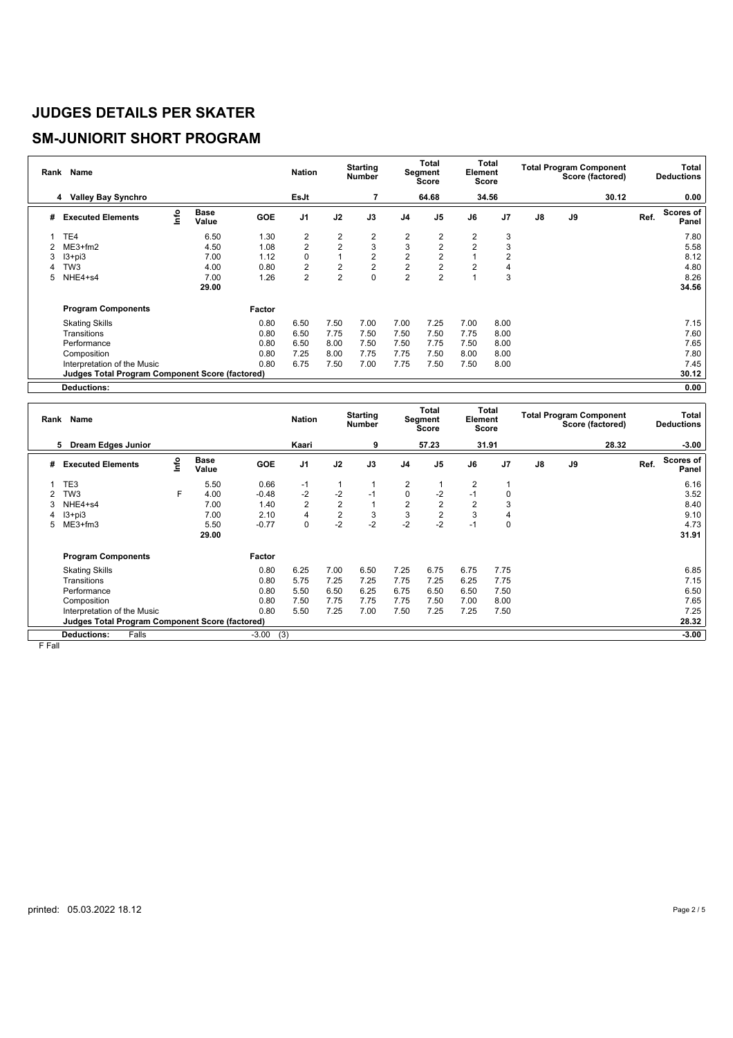#### **SM-JUNIORIT SHORT PROGRAM**

| Rank | Name                                            |      |                      |            | <b>Nation</b>           |                | <b>Starting</b><br>Number |                | Total<br>Segment<br><b>Score</b> | Element        | Total<br><b>Score</b> |    |    | <b>Total Program Component</b><br>Score (factored) |      | <b>Total</b><br><b>Deductions</b> |
|------|-------------------------------------------------|------|----------------------|------------|-------------------------|----------------|---------------------------|----------------|----------------------------------|----------------|-----------------------|----|----|----------------------------------------------------|------|-----------------------------------|
|      | <b>Valley Bay Synchro</b><br>4                  |      |                      |            | EsJt                    |                | 7                         |                | 64.68                            |                | 34.56                 |    |    | 30.12                                              |      | 0.00                              |
| #    | <b>Executed Elements</b>                        | lnfo | <b>Base</b><br>Value | <b>GOE</b> | J <sub>1</sub>          | J2             | J3                        | J <sub>4</sub> | J <sub>5</sub>                   | J6             | J <sub>7</sub>        | J8 | J9 |                                                    | Ref. | Scores of<br>Panel                |
|      | TE4                                             |      | 6.50                 | 1.30       | 2                       | 2              | 2                         | 2              | 2                                | 2              | 3                     |    |    |                                                    |      | 7.80                              |
|      | $ME3+fm2$                                       |      | 4.50                 | 1.08       | $\overline{c}$          | $\overline{2}$ | 3                         | 3              | $\overline{2}$                   | $\overline{2}$ | 3                     |    |    |                                                    |      | 5.58                              |
| 3    | $13 + pi3$                                      |      | 7.00                 | 1.12       | 0                       |                | $\overline{2}$            | $\overline{2}$ | $\overline{2}$                   |                | $\overline{2}$        |    |    |                                                    |      | 8.12                              |
|      | TW <sub>3</sub>                                 |      | 4.00                 | 0.80       | $\overline{\mathbf{c}}$ | $\overline{2}$ | $\overline{2}$            | $\overline{2}$ | $\overline{2}$                   | $\overline{2}$ | 4                     |    |    |                                                    |      | 4.80                              |
| 5    | NHE4+s4                                         |      | 7.00                 | 1.26       | $\overline{2}$          | $\overline{2}$ | $\Omega$                  | $\overline{2}$ | $\overline{2}$                   |                | 3                     |    |    |                                                    |      | 8.26                              |
|      |                                                 |      | 29.00                |            |                         |                |                           |                |                                  |                |                       |    |    |                                                    |      | 34.56                             |
|      | <b>Program Components</b>                       |      |                      | Factor     |                         |                |                           |                |                                  |                |                       |    |    |                                                    |      |                                   |
|      | <b>Skating Skills</b>                           |      |                      | 0.80       | 6.50                    | 7.50           | 7.00                      | 7.00           | 7.25                             | 7.00           | 8.00                  |    |    |                                                    |      | 7.15                              |
|      | <b>Transitions</b>                              |      |                      | 0.80       | 6.50                    | 7.75           | 7.50                      | 7.50           | 7.50                             | 7.75           | 8.00                  |    |    |                                                    |      | 7.60                              |
|      | Performance                                     |      |                      | 0.80       | 6.50                    | 8.00           | 7.50                      | 7.50           | 7.75                             | 7.50           | 8.00                  |    |    |                                                    |      | 7.65                              |
|      | Composition                                     |      |                      | 0.80       | 7.25                    | 8.00           | 7.75                      | 7.75           | 7.50                             | 8.00           | 8.00                  |    |    |                                                    |      | 7.80                              |
|      | Interpretation of the Music                     |      |                      | 0.80       | 6.75                    | 7.50           | 7.00                      | 7.75           | 7.50                             | 7.50           | 8.00                  |    |    |                                                    |      | 7.45                              |
|      | Judges Total Program Component Score (factored) |      |                      |            |                         |                |                           |                |                                  |                |                       |    |    |                                                    |      | 30.12                             |
|      | <b>Deductions:</b>                              |      |                      |            |                         |                |                           |                |                                  |                |                       |    |    |                                                    |      | 0.00                              |

| Rank | Name                                            |    |               |            | <b>Nation</b>  |                | <b>Starting</b><br><b>Number</b> |                | Total<br>Segment<br><b>Score</b> | Element        | Total<br>Score |               |    | <b>Total Program Component</b><br>Score (factored) |      | Total<br><b>Deductions</b> |
|------|-------------------------------------------------|----|---------------|------------|----------------|----------------|----------------------------------|----------------|----------------------------------|----------------|----------------|---------------|----|----------------------------------------------------|------|----------------------------|
|      | <b>Dream Edges Junior</b><br>5.                 |    |               |            | Kaari          |                | 9                                |                | 57.23                            |                | 31.91          |               |    | 28.32                                              |      | $-3.00$                    |
| #    | <b>Executed Elements</b>                        | ۴o | Base<br>Value | <b>GOE</b> | J <sub>1</sub> | J2             | J3                               | J4             | J <sub>5</sub>                   | J6             | J7             | $\mathsf{J}8$ | J9 |                                                    | Ref. | <b>Scores of</b><br>Panel  |
|      | TE3                                             |    | 5.50          | 0.66       | $-1$           |                |                                  | 2              |                                  | $\overline{2}$ |                |               |    |                                                    |      | 6.16                       |
|      | TW3                                             | F  | 4.00          | $-0.48$    | $-2$           | $-2$           | $-1$                             | 0              | -2                               | $-1$           | 0              |               |    |                                                    |      | 3.52                       |
| 3    | NHE4+s4                                         |    | 7.00          | 1.40       | 2              | $\overline{2}$ |                                  | $\overline{2}$ | 2                                | 2              | 3              |               |    |                                                    |      | 8.40                       |
|      | $13 + pi3$                                      |    | 7.00          | 2.10       | 4              | $\overline{2}$ | 3                                | 3              | $\overline{2}$                   | 3              | 4              |               |    |                                                    |      | 9.10                       |
|      | 5 ME3+fm3                                       |    | 5.50          | $-0.77$    | 0              | $-2$           | $-2$                             | $-2$           | $-2$                             | $-1$           | 0              |               |    |                                                    |      | 4.73                       |
|      |                                                 |    | 29.00         |            |                |                |                                  |                |                                  |                |                |               |    |                                                    |      | 31.91                      |
|      | <b>Program Components</b>                       |    |               | Factor     |                |                |                                  |                |                                  |                |                |               |    |                                                    |      |                            |
|      | <b>Skating Skills</b>                           |    |               | 0.80       | 6.25           | 7.00           | 6.50                             | 7.25           | 6.75                             | 6.75           | 7.75           |               |    |                                                    |      | 6.85                       |
|      | Transitions                                     |    |               | 0.80       | 5.75           | 7.25           | 7.25                             | 7.75           | 7.25                             | 6.25           | 7.75           |               |    |                                                    |      | 7.15                       |
|      | Performance                                     |    |               | 0.80       | 5.50           | 6.50           | 6.25                             | 6.75           | 6.50                             | 6.50           | 7.50           |               |    |                                                    |      | 6.50                       |
|      | Composition                                     |    |               | 0.80       | 7.50           | 7.75           | 7.75                             | 7.75           | 7.50                             | 7.00           | 8.00           |               |    |                                                    |      | 7.65                       |
|      | Interpretation of the Music                     |    |               | 0.80       | 5.50           | 7.25           | 7.00                             | 7.50           | 7.25                             | 7.25           | 7.50           |               |    |                                                    |      | 7.25                       |
|      | Judges Total Program Component Score (factored) |    |               |            |                |                |                                  |                |                                  |                |                |               |    |                                                    |      | 28.32                      |
|      | <b>Deductions:</b><br>Falls                     |    |               | $-3.00$    | (3)            |                |                                  |                |                                  |                |                |               |    |                                                    |      | $-3.00$                    |

 $F$  Fall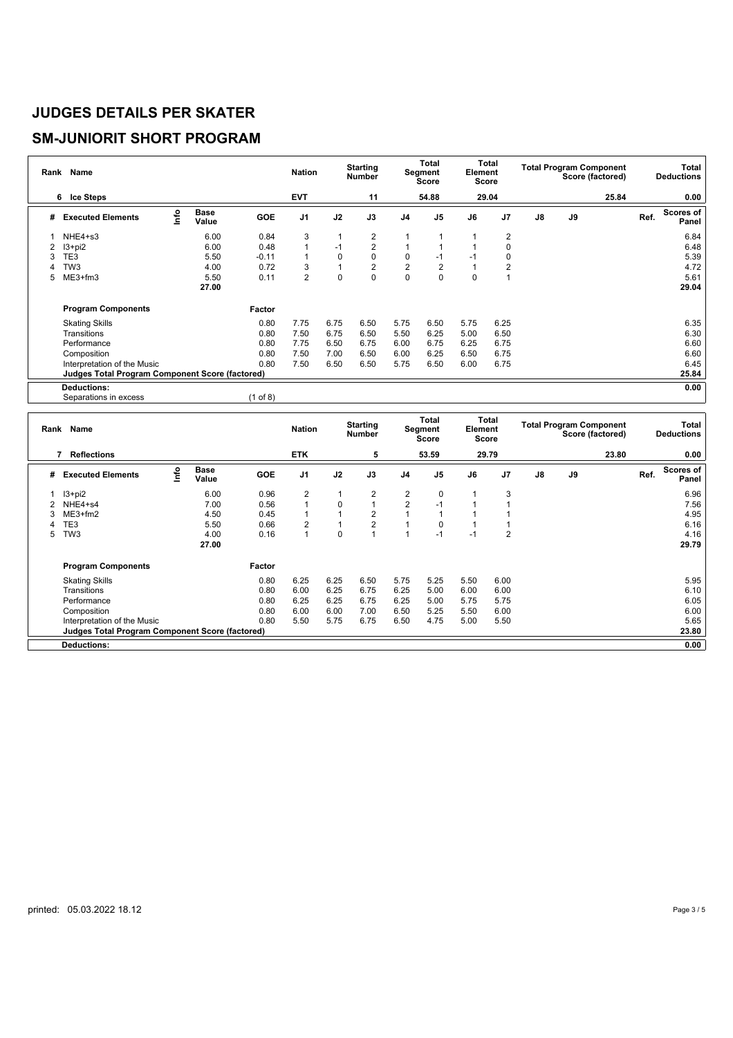#### **SM-JUNIORIT SHORT PROGRAM**

|   | Rank Name                                              |      |                      |            | <b>Nation</b>  |              | <b>Starting</b><br><b>Number</b> |                | <b>Total</b><br>Segment<br>Score | Element  | Total<br><b>Score</b> |               |    | <b>Total Program Component</b><br>Score (factored) |      | <b>Total</b><br><b>Deductions</b> |
|---|--------------------------------------------------------|------|----------------------|------------|----------------|--------------|----------------------------------|----------------|----------------------------------|----------|-----------------------|---------------|----|----------------------------------------------------|------|-----------------------------------|
|   | 6 Ice Steps                                            |      |                      |            | <b>EVT</b>     |              | 11                               |                | 54.88                            |          | 29.04                 |               |    | 25.84                                              |      | 0.00                              |
| # | <b>Executed Elements</b>                               | Info | <b>Base</b><br>Value | GOE        | J <sub>1</sub> | J2           | J3                               | J <sub>4</sub> | J <sub>5</sub>                   | J6       | J <sub>7</sub>        | $\mathsf{J}8$ | J9 |                                                    | Ref. | Scores of<br>Panel                |
|   | NHE4+s3                                                |      | 6.00                 | 0.84       | 3              | 1            | 2                                |                |                                  |          | 2                     |               |    |                                                    |      | 6.84                              |
|   | $13+pi2$                                               |      | 6.00                 | 0.48       | 1              | $-1$         | $\overline{2}$                   |                |                                  |          | 0                     |               |    |                                                    |      | 6.48                              |
| 3 | TE3                                                    |      | 5.50                 | $-0.11$    | 1              | $\mathbf 0$  | 0                                | 0              | $-1$                             | $-1$     | 0                     |               |    |                                                    |      | 5.39                              |
| 4 | TW <sub>3</sub>                                        |      | 4.00                 | 0.72       | 3              | $\mathbf{1}$ | 2                                | $\sqrt{2}$     | $\overline{2}$                   |          | 2                     |               |    |                                                    |      | 4.72                              |
| 5 | ME3+fm3                                                |      | 5.50                 | 0.11       | $\overline{2}$ | $\mathbf 0$  | $\mathbf 0$                      | $\mathbf 0$    | $\Omega$                         | $\Omega$ |                       |               |    |                                                    |      | 5.61                              |
|   |                                                        |      | 27.00                |            |                |              |                                  |                |                                  |          |                       |               |    |                                                    |      | 29.04                             |
|   | <b>Program Components</b>                              |      |                      | Factor     |                |              |                                  |                |                                  |          |                       |               |    |                                                    |      |                                   |
|   | <b>Skating Skills</b>                                  |      |                      | 0.80       | 7.75           | 6.75         | 6.50                             | 5.75           | 6.50                             | 5.75     | 6.25                  |               |    |                                                    |      | 6.35                              |
|   | Transitions                                            |      |                      | 0.80       | 7.50           | 6.75         | 6.50                             | 5.50           | 6.25                             | 5.00     | 6.50                  |               |    |                                                    |      | 6.30                              |
|   | Performance                                            |      |                      | 0.80       | 7.75           | 6.50         | 6.75                             | 6.00           | 6.75                             | 6.25     | 6.75                  |               |    |                                                    |      | 6.60                              |
|   | Composition                                            |      |                      | 0.80       | 7.50           | 7.00         | 6.50                             | 6.00           | 6.25                             | 6.50     | 6.75                  |               |    |                                                    |      | 6.60                              |
|   | Interpretation of the Music                            |      |                      | 0.80       | 7.50           | 6.50         | 6.50                             | 5.75           | 6.50                             | 6.00     | 6.75                  |               |    |                                                    |      | 6.45                              |
|   | <b>Judges Total Program Component Score (factored)</b> |      |                      |            |                |              |                                  |                |                                  |          |                       |               |    |                                                    |      | 25.84                             |
|   | <b>Deductions:</b>                                     |      |                      |            |                |              |                                  |                |                                  |          |                       |               |    |                                                    |      | 0.00                              |
|   | Separations in excess                                  |      |                      | $(1$ of 8) |                |              |                                  |                |                                  |          |                       |               |    |                                                    |      |                                   |

| Rank | Name                                                   |      |                      |            | <b>Nation</b>  |              | <b>Starting</b><br><b>Number</b> |                | Total<br>Segment<br><b>Score</b> | Element | <b>Total</b><br>Score |               | <b>Total Program Component</b><br>Score (factored) | Total<br><b>Deductions</b> |
|------|--------------------------------------------------------|------|----------------------|------------|----------------|--------------|----------------------------------|----------------|----------------------------------|---------|-----------------------|---------------|----------------------------------------------------|----------------------------|
|      | <b>Reflections</b><br>7                                |      |                      |            | <b>ETK</b>     |              | 5                                |                | 53.59                            |         | 29.79                 |               | 23.80                                              | 0.00                       |
| #    | <b>Executed Elements</b>                               | Info | <b>Base</b><br>Value | <b>GOE</b> | J <sub>1</sub> | J2           | J3                               | J4             | J <sub>5</sub>                   | J6      | J7                    | $\mathsf{J}8$ | J9                                                 | Scores of<br>Ref.<br>Panel |
|      | $13 + pi2$                                             |      | 6.00                 | 0.96       | 2              | 1            | 2                                | 2              | $\mathbf 0$                      |         | 3                     |               |                                                    | 6.96                       |
|      | NHE4+s4                                                |      | 7.00                 | 0.56       |                | 0            |                                  | $\overline{2}$ | $-1$                             |         |                       |               |                                                    | 7.56                       |
|      | $ME3+fm2$                                              |      | 4.50                 | 0.45       |                | 1            | $\overline{2}$                   |                |                                  |         |                       |               |                                                    | 4.95                       |
|      | TE3                                                    |      | 5.50                 | 0.66       | 2              | $\mathbf{1}$ | $\overline{2}$                   |                | $\Omega$                         |         |                       |               |                                                    | 6.16                       |
| 5    | TW <sub>3</sub>                                        |      | 4.00                 | 0.16       |                | 0            |                                  |                | $-1$                             | $-1$    | $\overline{2}$        |               |                                                    | 4.16                       |
|      |                                                        |      | 27.00                |            |                |              |                                  |                |                                  |         |                       |               |                                                    | 29.79                      |
|      | <b>Program Components</b>                              |      |                      | Factor     |                |              |                                  |                |                                  |         |                       |               |                                                    |                            |
|      | <b>Skating Skills</b>                                  |      |                      | 0.80       | 6.25           | 6.25         | 6.50                             | 5.75           | 5.25                             | 5.50    | 6.00                  |               |                                                    | 5.95                       |
|      | Transitions                                            |      |                      | 0.80       | 6.00           | 6.25         | 6.75                             | 6.25           | 5.00                             | 6.00    | 6.00                  |               |                                                    | 6.10                       |
|      | Performance                                            |      |                      | 0.80       | 6.25           | 6.25         | 6.75                             | 6.25           | 5.00                             | 5.75    | 5.75                  |               |                                                    | 6.05                       |
|      | Composition                                            |      |                      | 0.80       | 6.00           | 6.00         | 7.00                             | 6.50           | 5.25                             | 5.50    | 6.00                  |               |                                                    | 6.00                       |
|      | Interpretation of the Music                            |      |                      | 0.80       | 5.50           | 5.75         | 6.75                             | 6.50           | 4.75                             | 5.00    | 5.50                  |               |                                                    | 5.65                       |
|      | <b>Judges Total Program Component Score (factored)</b> |      |                      |            |                |              |                                  |                |                                  |         |                       |               |                                                    | 23.80                      |
|      | <b>Deductions:</b>                                     |      |                      |            |                |              |                                  |                |                                  |         |                       |               |                                                    | 0.00                       |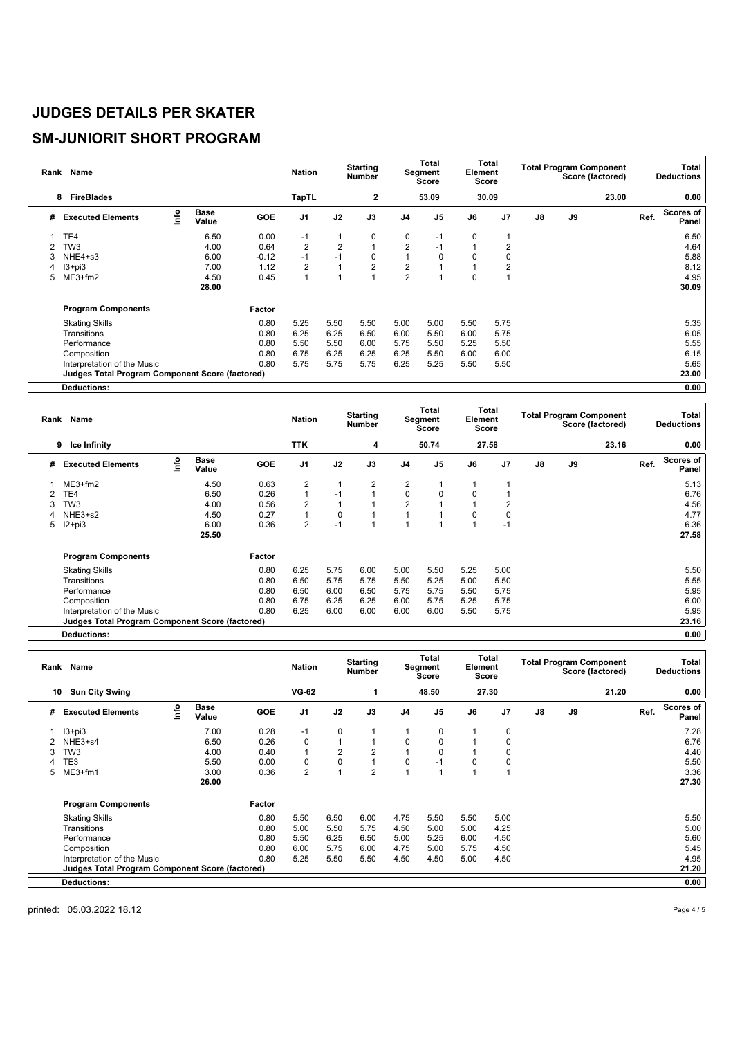### **SM-JUNIORIT SHORT PROGRAM**

| Rank | Name                                                   |      |                      |            | <b>Nation</b>  |                | <b>Starting</b><br><b>Number</b> |                | Total<br>Segment<br>Score | Element  | Total<br>Score |    |    | <b>Total Program Component</b><br>Score (factored) |      | Total<br><b>Deductions</b> |
|------|--------------------------------------------------------|------|----------------------|------------|----------------|----------------|----------------------------------|----------------|---------------------------|----------|----------------|----|----|----------------------------------------------------|------|----------------------------|
|      | <b>FireBlades</b><br>8                                 |      |                      |            | <b>TapTL</b>   |                | $\mathbf{2}$                     |                | 53.09                     |          | 30.09          |    |    | 23.00                                              |      | 0.00                       |
| #    | <b>Executed Elements</b>                               | lnfo | <b>Base</b><br>Value | <b>GOE</b> | J <sub>1</sub> | J2             | J3                               | J <sub>4</sub> | J <sub>5</sub>            | J6       | J <sub>7</sub> | J8 | J9 |                                                    | Ref. | <b>Scores of</b><br>Panel  |
|      | TE4                                                    |      | 6.50                 | 0.00       | -1             | 1              | 0                                | 0              | -1                        | 0        |                |    |    |                                                    |      | 6.50                       |
|      | TW <sub>3</sub>                                        |      | 4.00                 | 0.64       | $\overline{2}$ | $\overline{2}$ |                                  | $\overline{2}$ | $-1$                      |          | $\overline{2}$ |    |    |                                                    |      | 4.64                       |
| 3    | NHE4+s3                                                |      | 6.00                 | $-0.12$    | $-1$           | $-1$           | 0                                |                | 0                         | $\Omega$ | $\Omega$       |    |    |                                                    |      | 5.88                       |
| 4    | $13 + pi3$                                             |      | 7.00                 | 1.12       | 2              | 1              | 2                                | 2              |                           |          | $\overline{2}$ |    |    |                                                    |      | 8.12                       |
| 5    | $ME3+fm2$                                              |      | 4.50                 | 0.45       | 1              |                |                                  | $\overline{2}$ |                           | 0        |                |    |    |                                                    |      | 4.95                       |
|      |                                                        |      | 28.00                |            |                |                |                                  |                |                           |          |                |    |    |                                                    |      | 30.09                      |
|      | <b>Program Components</b>                              |      |                      | Factor     |                |                |                                  |                |                           |          |                |    |    |                                                    |      |                            |
|      | <b>Skating Skills</b>                                  |      |                      | 0.80       | 5.25           | 5.50           | 5.50                             | 5.00           | 5.00                      | 5.50     | 5.75           |    |    |                                                    |      | 5.35                       |
|      | Transitions                                            |      |                      | 0.80       | 6.25           | 6.25           | 6.50                             | 6.00           | 5.50                      | 6.00     | 5.75           |    |    |                                                    |      | 6.05                       |
|      | Performance                                            |      |                      | 0.80       | 5.50           | 5.50           | 6.00                             | 5.75           | 5.50                      | 5.25     | 5.50           |    |    |                                                    |      | 5.55                       |
|      | Composition                                            |      |                      | 0.80       | 6.75           | 6.25           | 6.25                             | 6.25           | 5.50                      | 6.00     | 6.00           |    |    |                                                    |      | 6.15                       |
|      | Interpretation of the Music                            |      |                      | 0.80       | 5.75           | 5.75           | 5.75                             | 6.25           | 5.25                      | 5.50     | 5.50           |    |    |                                                    |      | 5.65                       |
|      | <b>Judges Total Program Component Score (factored)</b> |      |                      |            |                |                |                                  |                |                           |          |                |    |    |                                                    |      | 23.00                      |
|      | Deductions:                                            |      |                      |            |                |                |                                  |                |                           |          |                |    |    |                                                    |      | 0.00                       |

| Rank | Name                                                   |     |                      |            | <b>Nation</b>  |             | <b>Starting</b><br><b>Number</b> |                | Total<br>Segment<br>Score | Element | Total<br>Score |            | <b>Total Program Component</b><br>Score (factored) | Total<br><b>Deductions</b> |
|------|--------------------------------------------------------|-----|----------------------|------------|----------------|-------------|----------------------------------|----------------|---------------------------|---------|----------------|------------|----------------------------------------------------|----------------------------|
|      | Ice Infinity<br>9                                      |     |                      |            | TTK            |             | 4                                |                | 50.74                     |         | 27.58          |            | 23.16                                              | 0.00                       |
| #    | <b>Executed Elements</b>                               | r۴o | <b>Base</b><br>Value | <b>GOE</b> | J <sub>1</sub> | J2          | J3                               | J <sub>4</sub> | J <sub>5</sub>            | J6      | J7             | ${\sf J8}$ | J9                                                 | Scores of<br>Ref.<br>Panel |
|      | $ME3+fm2$                                              |     | 4.50                 | 0.63       | $\overline{2}$ |             | $\overline{2}$                   | $\overline{2}$ |                           |         |                |            |                                                    | 5.13                       |
| 2    | TE4                                                    |     | 6.50                 | 0.26       |                | $-1$        | 1                                | 0              | $\mathbf 0$               | 0       |                |            |                                                    | 6.76                       |
| 3    | TW <sub>3</sub>                                        |     | 4.00                 | 0.56       | $\overline{2}$ |             |                                  | $\overline{2}$ |                           |         | $\overline{2}$ |            |                                                    | 4.56                       |
|      | NHE3+s2                                                |     | 4.50                 | 0.27       |                | $\mathbf 0$ |                                  |                |                           |         | 0              |            |                                                    | 4.77                       |
| 5    | $12+pi3$                                               |     | 6.00                 | 0.36       | $\overline{2}$ | $-1$        | 1                                |                |                           |         | $-1$           |            |                                                    | 6.36                       |
|      |                                                        |     | 25.50                |            |                |             |                                  |                |                           |         |                |            |                                                    | 27.58                      |
|      | <b>Program Components</b>                              |     |                      | Factor     |                |             |                                  |                |                           |         |                |            |                                                    |                            |
|      | <b>Skating Skills</b>                                  |     |                      | 0.80       | 6.25           | 5.75        | 6.00                             | 5.00           | 5.50                      | 5.25    | 5.00           |            |                                                    | 5.50                       |
|      | Transitions                                            |     |                      | 0.80       | 6.50           | 5.75        | 5.75                             | 5.50           | 5.25                      | 5.00    | 5.50           |            |                                                    | 5.55                       |
|      | Performance                                            |     |                      | 0.80       | 6.50           | 6.00        | 6.50                             | 5.75           | 5.75                      | 5.50    | 5.75           |            |                                                    | 5.95                       |
|      | Composition                                            |     |                      | 0.80       | 6.75           | 6.25        | 6.25                             | 6.00           | 5.75                      | 5.25    | 5.75           |            |                                                    | 6.00                       |
|      | Interpretation of the Music                            |     |                      | 0.80       | 6.25           | 6.00        | 6.00                             | 6.00           | 6.00                      | 5.50    | 5.75           |            |                                                    | 5.95                       |
|      | <b>Judges Total Program Component Score (factored)</b> |     |                      |            |                |             |                                  |                |                           |         |                |            |                                                    | 23.16                      |
|      | <b>Deductions:</b>                                     |     |                      |            |                |             |                                  |                |                           |         |                |            |                                                    | 0.00                       |

| Rank | Name                                                   |      |                      |            | <b>Nation</b>  |      | <b>Starting</b><br>Number |                | Total<br><b>Segment</b><br>Score | Element | Total<br>Score |    | <b>Total Program Component</b><br>Score (factored) |      | Total<br><b>Deductions</b> |
|------|--------------------------------------------------------|------|----------------------|------------|----------------|------|---------------------------|----------------|----------------------------------|---------|----------------|----|----------------------------------------------------|------|----------------------------|
| 10   | <b>Sun City Swing</b>                                  |      |                      |            | <b>VG-62</b>   |      |                           |                | 48.50                            |         | 27.30          |    | 21.20                                              |      | 0.00                       |
| #    | <b>Executed Elements</b>                               | ١nf٥ | <b>Base</b><br>Value | <b>GOE</b> | J <sub>1</sub> | J2   | J3                        | J <sub>4</sub> | J <sub>5</sub>                   | J6      | J <sub>7</sub> | J8 | J9                                                 | Ref. | <b>Scores of</b><br>Panel  |
|      | $13 + pi3$                                             |      | 7.00                 | 0.28       | $-1$           | 0    |                           |                | 0                                |         | 0              |    |                                                    |      | 7.28                       |
|      | NHE3+s4                                                |      | 6.50                 | 0.26       | 0              |      |                           | 0              | 0                                |         | 0              |    |                                                    |      | 6.76                       |
|      | TW <sub>3</sub>                                        |      | 4.00                 | 0.40       | $\overline{1}$ | 2    | $\overline{2}$            |                | $\Omega$                         |         | $\Omega$       |    |                                                    |      | 4.40                       |
|      | ГE3                                                    |      | 5.50                 | 0.00       | $\Omega$       | 0    |                           | $\Omega$       | $-1$                             | 0       | $\Omega$       |    |                                                    |      | 5.50                       |
| 5    | $ME3+fm1$                                              |      | 3.00                 | 0.36       | 2              |      | $\overline{2}$            |                |                                  |         |                |    |                                                    |      | 3.36                       |
|      |                                                        |      | 26.00                |            |                |      |                           |                |                                  |         |                |    |                                                    |      | 27.30                      |
|      | <b>Program Components</b>                              |      |                      | Factor     |                |      |                           |                |                                  |         |                |    |                                                    |      |                            |
|      | <b>Skating Skills</b>                                  |      |                      | 0.80       | 5.50           | 6.50 | 6.00                      | 4.75           | 5.50                             | 5.50    | 5.00           |    |                                                    |      | 5.50                       |
|      | Transitions                                            |      |                      | 0.80       | 5.00           | 5.50 | 5.75                      | 4.50           | 5.00                             | 5.00    | 4.25           |    |                                                    |      | 5.00                       |
|      | Performance                                            |      |                      | 0.80       | 5.50           | 6.25 | 6.50                      | 5.00           | 5.25                             | 6.00    | 4.50           |    |                                                    |      | 5.60                       |
|      | Composition                                            |      |                      | 0.80       | 6.00           | 5.75 | 6.00                      | 4.75           | 5.00                             | 5.75    | 4.50           |    |                                                    |      | 5.45                       |
|      | Interpretation of the Music                            |      |                      | 0.80       | 5.25           | 5.50 | 5.50                      | 4.50           | 4.50                             | 5.00    | 4.50           |    |                                                    |      | 4.95                       |
|      | <b>Judges Total Program Component Score (factored)</b> |      |                      |            |                |      |                           |                |                                  |         |                |    |                                                    |      | 21.20                      |
|      | <b>Deductions:</b>                                     |      |                      |            |                |      |                           |                |                                  |         |                |    |                                                    |      | 0.00                       |

printed: 05.03.2022 18.12